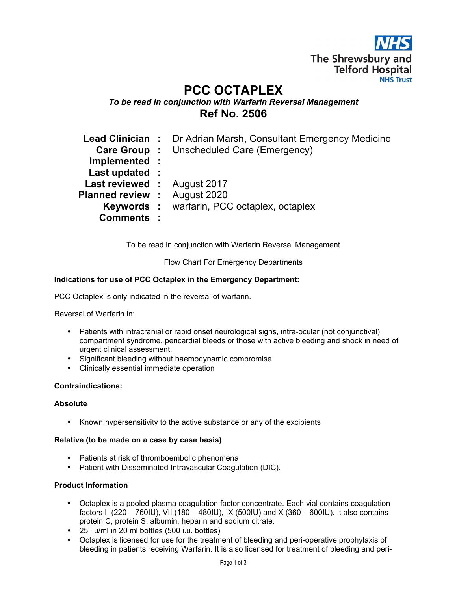The Shrewsbury and **Telford Hospital NHS Trust** 

# PCC OCTAPLEX

# To be read in conjunction with Warfarin Reversal Management Ref No. 2506

|                                     | <b>Lead Clinician :</b> Dr Adrian Marsh, Consultant Emergency Medicine |
|-------------------------------------|------------------------------------------------------------------------|
|                                     | <b>Care Group :</b> Unscheduled Care (Emergency)                       |
| Implemented :                       |                                                                        |
| Last updated :                      |                                                                        |
| Last reviewed : August 2017         |                                                                        |
| <b>Planned review : August 2020</b> |                                                                        |
|                                     | <b>Keywords:</b> warfarin, PCC octaplex, octaplex                      |
| <b>Comments:</b>                    |                                                                        |

To be read in conjunction with Warfarin Reversal Management

Flow Chart For Emergency Departments

# Indications for use of PCC Octaplex in the Emergency Department:

PCC Octaplex is only indicated in the reversal of warfarin.

Reversal of Warfarin in:

- Patients with intracranial or rapid onset neurological signs, intra-ocular (not conjunctival), compartment syndrome, pericardial bleeds or those with active bleeding and shock in need of urgent clinical assessment.
- Significant bleeding without haemodynamic compromise
- Clinically essential immediate operation

# Contraindications:

#### Absolute

• Known hypersensitivity to the active substance or any of the excipients

#### Relative (to be made on a case by case basis)

- Patients at risk of thromboembolic phenomena
- Patient with Disseminated Intravascular Coagulation (DIC).

#### Product Information

- Octaplex is a pooled plasma coagulation factor concentrate. Each vial contains coagulation factors II (220 – 760IU), VII (180 – 480IU), IX (500IU) and X (360 – 600IU). It also contains protein C, protein S, albumin, heparin and sodium citrate.
- 25 i.u/ml in 20 ml bottles (500 i.u. bottles)
- Octaplex is licensed for use for the treatment of bleeding and peri-operative prophylaxis of bleeding in patients receiving Warfarin. It is also licensed for treatment of bleeding and peri-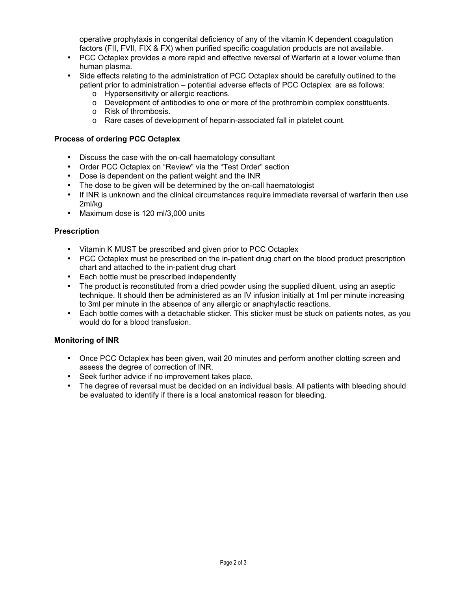operative prophylaxis in congenital deficiency of any of the vitamin K dependent coagulation factors (FII, FVII, FIX & FX) when purified specific coagulation products are not available.

- PCC Octaplex provides a more rapid and effective reversal of Warfarin at a lower volume than human plasma.
- Side effects relating to the administration of PCC Octaplex should be carefully outlined to the patient prior to administration – potential adverse effects of PCC Octaplex are as follows:
	- o Hypersensitivity or allergic reactions.
	- o Development of antibodies to one or more of the prothrombin complex constituents.
	- o Risk of thrombosis.
	- o Rare cases of development of heparin-associated fall in platelet count.

## Process of ordering PCC Octaplex

- Discuss the case with the on-call haematology consultant
- Order PCC Octaplex on "Review" via the "Test Order" section
- Dose is dependent on the patient weight and the INR
- The dose to be given will be determined by the on-call haematologist
- If INR is unknown and the clinical circumstances require immediate reversal of warfarin then use 2ml/kg
- Maximum dose is 120 ml/3,000 units

#### **Prescription**

- Vitamin K MUST be prescribed and given prior to PCC Octaplex
- PCC Octaplex must be prescribed on the in-patient drug chart on the blood product prescription chart and attached to the in-patient drug chart
- Each bottle must be prescribed independently
- The product is reconstituted from a dried powder using the supplied diluent, using an aseptic technique. It should then be administered as an IV infusion initially at 1ml per minute increasing to 3ml per minute in the absence of any allergic or anaphylactic reactions.
- Each bottle comes with a detachable sticker. This sticker must be stuck on patients notes, as you would do for a blood transfusion.

## Monitoring of INR

- Once PCC Octaplex has been given, wait 20 minutes and perform another clotting screen and assess the degree of correction of INR.
- Seek further advice if no improvement takes place.
- The degree of reversal must be decided on an individual basis. All patients with bleeding should be evaluated to identify if there is a local anatomical reason for bleeding.